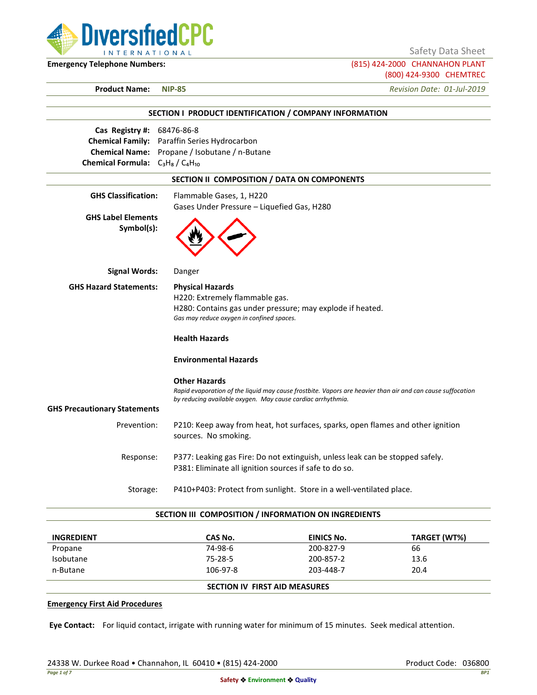

Safety Data Sheet

**Emergency Telephone Numbers:** (815) 424-2000 CHANNAHON PLANT (800) 424-9300 CHEMTREC

**Product Name: NIP-85** *Revision Date: 01-Jul-2019*

|                                                                                                                        | SECTION I PRODUCT IDENTIFICATION / COMPANY INFORMATION                                                                                                                                            |
|------------------------------------------------------------------------------------------------------------------------|---------------------------------------------------------------------------------------------------------------------------------------------------------------------------------------------------|
| Cas Registry #: 68476-86-8<br><b>Chemical Family:</b><br><b>Chemical Name:</b><br>Chemical Formula: $C_3H_8/C_4H_{10}$ | Paraffin Series Hydrocarbon<br>Propane / Isobutane / n-Butane                                                                                                                                     |
|                                                                                                                        | SECTION II COMPOSITION / DATA ON COMPONENTS                                                                                                                                                       |
| <b>GHS Classification:</b>                                                                                             | Flammable Gases, 1, H220<br>Gases Under Pressure - Liquefied Gas, H280                                                                                                                            |
| <b>GHS Label Elements</b><br>Symbol(s):                                                                                |                                                                                                                                                                                                   |
| <b>Signal Words:</b>                                                                                                   | Danger                                                                                                                                                                                            |
| <b>GHS Hazard Statements:</b>                                                                                          | <b>Physical Hazards</b><br>H220: Extremely flammable gas.<br>H280: Contains gas under pressure; may explode if heated.<br>Gas may reduce oxygen in confined spaces.                               |
|                                                                                                                        | <b>Health Hazards</b>                                                                                                                                                                             |
|                                                                                                                        | <b>Environmental Hazards</b>                                                                                                                                                                      |
|                                                                                                                        | <b>Other Hazards</b><br>Rapid evaporation of the liquid may cause frostbite. Vapors are heavier than air and can cause suffocation<br>by reducing available oxygen. May cause cardiac arrhythmia. |
| <b>GHS Precautionary Statements</b>                                                                                    |                                                                                                                                                                                                   |
| Prevention:                                                                                                            | P210: Keep away from heat, hot surfaces, sparks, open flames and other ignition<br>sources. No smoking.                                                                                           |
| Response:                                                                                                              | P377: Leaking gas Fire: Do not extinguish, unless leak can be stopped safely.<br>P381: Eliminate all ignition sources if safe to do so.                                                           |
| Storage:                                                                                                               | P410+P403: Protect from sunlight. Store in a well-ventilated place.                                                                                                                               |

#### **SECTION III COMPOSITION / INFORMATION ON INGREDIENTS**

| <b>INGREDIENT</b> | CAS No.  | EINICS No.                           | TARGET (WT%) |  |
|-------------------|----------|--------------------------------------|--------------|--|
| Propane           | 74-98-6  | 200-827-9                            | 66           |  |
| Isobutane         | 75-28-5  | 200-857-2                            | 13.6         |  |
| n-Butane          | 106-97-8 | 203-448-7                            | 20.4         |  |
|                   |          | <b>SECTION IV FIRST AID MEASURES</b> |              |  |

### **Emergency First Aid Procedures**

**Eye Contact:** For liquid contact, irrigate with running water for minimum of 15 minutes. Seek medical attention.

24338 W. Durkee Road • Channahon, IL 60410 • (815) 424-2000 Product Code: 036800 Product Code: 036800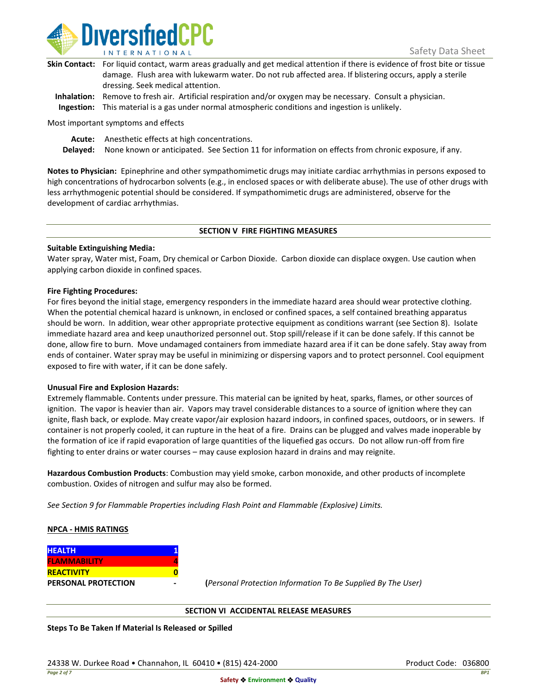

| Skin Contact: For liquid contact, warm areas gradually and get medical attention if there is evidence of frost bite or tissue |
|-------------------------------------------------------------------------------------------------------------------------------|
| damage. Flush area with lukewarm water. Do not rub affected area. If blistering occurs, apply a sterile                       |
| dressing. Seek medical attention.                                                                                             |
|                                                                                                                               |

**Inhalation:** Remove to fresh air. Artificial respiration and/or oxygen may be necessary. Consult a physician. **Ingestion:** This material is a gas under normal atmospheric conditions and ingestion is unlikely.

Most important symptoms and effects

**Acute:** Anesthetic effects at high concentrations.

**Delayed:** None known or anticipated. See Section 11 for information on effects from chronic exposure, if any.

**Notes to Physician:** Epinephrine and other sympathomimetic drugs may initiate cardiac arrhythmias in persons exposed to high concentrations of hydrocarbon solvents (e.g., in enclosed spaces or with deliberate abuse). The use of other drugs with less arrhythmogenic potential should be considered. If sympathomimetic drugs are administered, observe for the development of cardiac arrhythmias.

### **SECTION V FIRE FIGHTING MEASURES**

### **Suitable Extinguishing Media:**

Water spray, Water mist, Foam, Dry chemical or Carbon Dioxide. Carbon dioxide can displace oxygen. Use caution when applying carbon dioxide in confined spaces.

### **Fire Fighting Procedures:**

For fires beyond the initial stage, emergency responders in the immediate hazard area should wear protective clothing. When the potential chemical hazard is unknown, in enclosed or confined spaces, a self contained breathing apparatus should be worn. In addition, wear other appropriate protective equipment as conditions warrant (see Section 8). Isolate immediate hazard area and keep unauthorized personnel out. Stop spill/release if it can be done safely. If this cannot be done, allow fire to burn. Move undamaged containers from immediate hazard area if it can be done safely. Stay away from ends of container. Water spray may be useful in minimizing or dispersing vapors and to protect personnel. Cool equipment exposed to fire with water, if it can be done safely.

### **Unusual Fire and Explosion Hazards:**

Extremely flammable. Contents under pressure. This material can be ignited by heat, sparks, flames, or other sources of ignition. The vapor is heavier than air. Vapors may travel considerable distances to a source of ignition where they can ignite, flash back, or explode. May create vapor/air explosion hazard indoors, in confined spaces, outdoors, or in sewers. If container is not properly cooled, it can rupture in the heat of a fire. Drains can be plugged and valves made inoperable by the formation of ice if rapid evaporation of large quantities of the liquefied gas occurs. Do not allow run-off from fire fighting to enter drains or water courses – may cause explosion hazard in drains and may reignite.

**Hazardous Combustion Products**: Combustion may yield smoke, carbon monoxide, and other products of incomplete combustion. Oxides of nitrogen and sulfur may also be formed.

*See Section 9 for Flammable Properties including Flash Point and Flammable (Explosive) Limits.*

### **NPCA - HMIS RATINGS**

| <b>HEALTH</b>              |  |
|----------------------------|--|
| <b>FLAMMABILITY</b>        |  |
| <b>REACTIVITY</b>          |  |
| <b>PERSONAL PROTECTION</b> |  |

**PERSONAL PROTECTION - (***Personal Protection Information To Be Supplied By The User)*

### **SECTION VI ACCIDENTAL RELEASE MEASURES**

**Steps To Be Taken If Material Is Released or Spilled**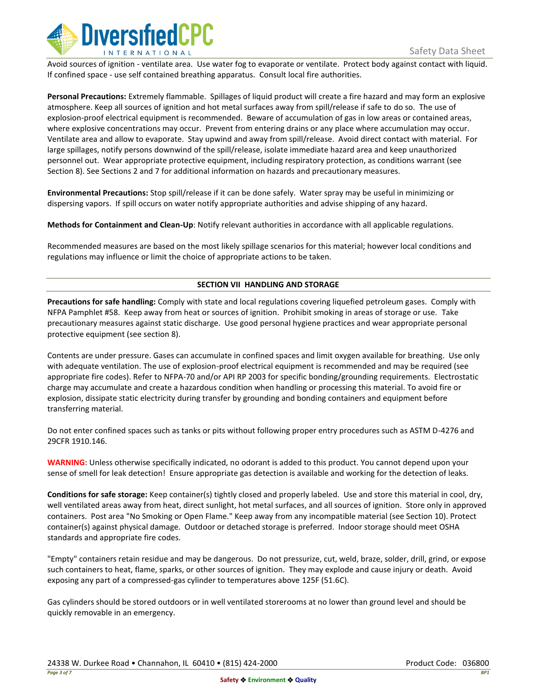

Avoid sources of ignition - ventilate area. Use water fog to evaporate or ventilate. Protect body against contact with liquid. If confined space - use self contained breathing apparatus. Consult local fire authorities.

**Personal Precautions:** Extremely flammable. Spillages of liquid product will create a fire hazard and may form an explosive atmosphere. Keep all sources of ignition and hot metal surfaces away from spill/release if safe to do so. The use of explosion-proof electrical equipment is recommended. Beware of accumulation of gas in low areas or contained areas, where explosive concentrations may occur. Prevent from entering drains or any place where accumulation may occur. Ventilate area and allow to evaporate. Stay upwind and away from spill/release. Avoid direct contact with material. For large spillages, notify persons downwind of the spill/release, isolate immediate hazard area and keep unauthorized personnel out. Wear appropriate protective equipment, including respiratory protection, as conditions warrant (see Section 8). See Sections 2 and 7 for additional information on hazards and precautionary measures.

**Environmental Precautions:** Stop spill/release if it can be done safely. Water spray may be useful in minimizing or dispersing vapors. If spill occurs on water notify appropriate authorities and advise shipping of any hazard.

**Methods for Containment and Clean-Up**: Notify relevant authorities in accordance with all applicable regulations.

Recommended measures are based on the most likely spillage scenarios for this material; however local conditions and regulations may influence or limit the choice of appropriate actions to be taken.

## **SECTION VII HANDLING AND STORAGE**

**Precautions for safe handling:** Comply with state and local regulations covering liquefied petroleum gases. Comply with NFPA Pamphlet #58. Keep away from heat or sources of ignition. Prohibit smoking in areas of storage or use. Take precautionary measures against static discharge. Use good personal hygiene practices and wear appropriate personal protective equipment (see section 8).

Contents are under pressure. Gases can accumulate in confined spaces and limit oxygen available for breathing. Use only with adequate ventilation. The use of explosion-proof electrical equipment is recommended and may be required (see appropriate fire codes). Refer to NFPA-70 and/or API RP 2003 for specific bonding/grounding requirements. Electrostatic charge may accumulate and create a hazardous condition when handling or processing this material. To avoid fire or explosion, dissipate static electricity during transfer by grounding and bonding containers and equipment before transferring material.

Do not enter confined spaces such as tanks or pits without following proper entry procedures such as ASTM D-4276 and 29CFR 1910.146.

**WARNING**: Unless otherwise specifically indicated, no odorant is added to this product. You cannot depend upon your sense of smell for leak detection! Ensure appropriate gas detection is available and working for the detection of leaks.

**Conditions for safe storage:** Keep container(s) tightly closed and properly labeled. Use and store this material in cool, dry, well ventilated areas away from heat, direct sunlight, hot metal surfaces, and all sources of ignition. Store only in approved containers. Post area "No Smoking or Open Flame." Keep away from any incompatible material (see Section 10). Protect container(s) against physical damage. Outdoor or detached storage is preferred. Indoor storage should meet OSHA standards and appropriate fire codes.

"Empty" containers retain residue and may be dangerous. Do not pressurize, cut, weld, braze, solder, drill, grind, or expose such containers to heat, flame, sparks, or other sources of ignition. They may explode and cause injury or death. Avoid exposing any part of a compressed-gas cylinder to temperatures above 125F (51.6C).

Gas cylinders should be stored outdoors or in well ventilated storerooms at no lower than ground level and should be quickly removable in an emergency.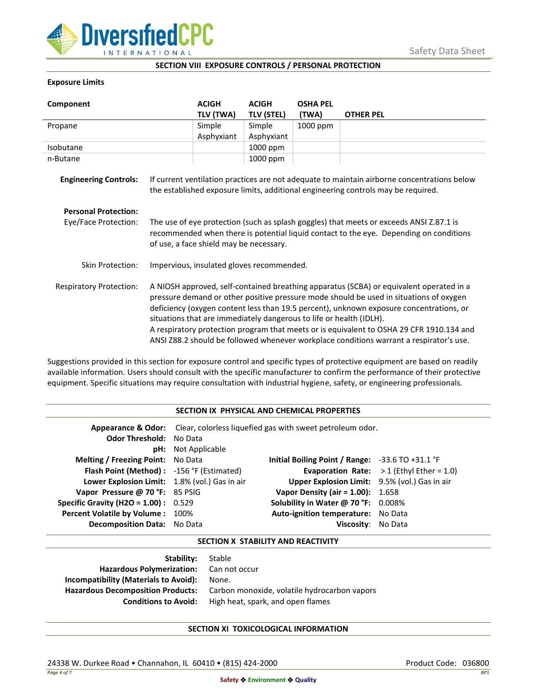

## **SECTION VIII EXPOSURE CONTROLS / PERSONAL PROTECTION**

### **Exposure Limits**

| Component                      |                                                                                                                                                                                                                                                                                                                                                                                                                                                                                                                                            | <b>ACIGH</b> | <b>ACIGH</b>      | <b>OSHA PEL</b> |                  |
|--------------------------------|--------------------------------------------------------------------------------------------------------------------------------------------------------------------------------------------------------------------------------------------------------------------------------------------------------------------------------------------------------------------------------------------------------------------------------------------------------------------------------------------------------------------------------------------|--------------|-------------------|-----------------|------------------|
|                                |                                                                                                                                                                                                                                                                                                                                                                                                                                                                                                                                            | TLV (TWA)    | <b>TLV (STEL)</b> | (TWA)           | <b>OTHER PEL</b> |
| Propane                        |                                                                                                                                                                                                                                                                                                                                                                                                                                                                                                                                            | Simple       | Simple            | 1000 ppm        |                  |
|                                |                                                                                                                                                                                                                                                                                                                                                                                                                                                                                                                                            | Asphyxiant   | Asphyxiant        |                 |                  |
| Isobutane                      |                                                                                                                                                                                                                                                                                                                                                                                                                                                                                                                                            |              | 1000 ppm          |                 |                  |
| n-Butane                       |                                                                                                                                                                                                                                                                                                                                                                                                                                                                                                                                            |              | 1000 ppm          |                 |                  |
| <b>Engineering Controls:</b>   | If current ventilation practices are not adequate to maintain airborne concentrations below<br>the established exposure limits, additional engineering controls may be required.                                                                                                                                                                                                                                                                                                                                                           |              |                   |                 |                  |
| <b>Personal Protection:</b>    |                                                                                                                                                                                                                                                                                                                                                                                                                                                                                                                                            |              |                   |                 |                  |
| Eye/Face Protection:           | The use of eye protection (such as splash goggles) that meets or exceeds ANSI Z.87.1 is<br>recommended when there is potential liquid contact to the eye. Depending on conditions<br>of use, a face shield may be necessary.                                                                                                                                                                                                                                                                                                               |              |                   |                 |                  |
| <b>Skin Protection:</b>        | Impervious, insulated gloves recommended.                                                                                                                                                                                                                                                                                                                                                                                                                                                                                                  |              |                   |                 |                  |
| <b>Respiratory Protection:</b> | A NIOSH approved, self-contained breathing apparatus (SCBA) or equivalent operated in a<br>pressure demand or other positive pressure mode should be used in situations of oxygen<br>deficiency (oxygen content less than 19.5 percent), unknown exposure concentrations, or<br>situations that are immediately dangerous to life or health (IDLH).<br>A respiratory protection program that meets or is equivalent to OSHA 29 CFR 1910.134 and<br>ANSI Z88.2 should be followed whenever workplace conditions warrant a respirator's use. |              |                   |                 |                  |

Suggestions provided in this section for exposure control and specific types of protective equipment are based on readily available information. Users should consult with the specific manufacturer to confirm the performance of their protective equipment. Specific situations may require consultation with industrial hygiene, safety, or engineering professionals.

#### **SECTION IX PHYSICAL AND CHEMICAL PROPERTIES**

| <b>Odor Threshold: No Data</b>                | <b>pH:</b> Not Applicable | Appearance & Odor: Clear, colorless liquefied gas with sweet petroleum odor. |                                                   |
|-----------------------------------------------|---------------------------|------------------------------------------------------------------------------|---------------------------------------------------|
| <b>Melting / Freezing Point:</b> No Data      |                           | Initial Boiling Point / Range: $-33.6$ TO $+31.1$ °F                         |                                                   |
| Flash Point (Method): -156 °F (Estimated)     |                           |                                                                              | <b>Evaporation Rate:</b> $>1$ (Ethyl Ether = 1.0) |
| Lower Explosion Limit: 1.8% (vol.) Gas in air |                           | Upper Explosion Limit: 9.5% (vol.) Gas in air                                |                                                   |
| Vapor Pressure @ 70 °F: 85 PSIG               |                           | <b>Vapor Density (air = 1.00):</b> 1.658                                     |                                                   |
| <b>Specific Gravity (H2O = 1.00):</b> $0.529$ |                           | Solubility in Water @ 70 °F: 0.008%                                          |                                                   |
| Percent Volatile by Volume: 100%              |                           | Auto-ignition temperature: No Data                                           |                                                   |
| <b>Decomposition Data:</b> No Data            |                           | Viscosity: No Data                                                           |                                                   |

## **SECTION X STABILITY AND REACTIVITY**

| Stable                                       |
|----------------------------------------------|
| Hazardous Polymerization: Can not occur      |
| None.                                        |
| Carbon monoxide, volatile hydrocarbon vapors |
| High heat, spark, and open flames            |
|                                              |

# **SECTION XI TOXICOLOGICAL INFORMATION**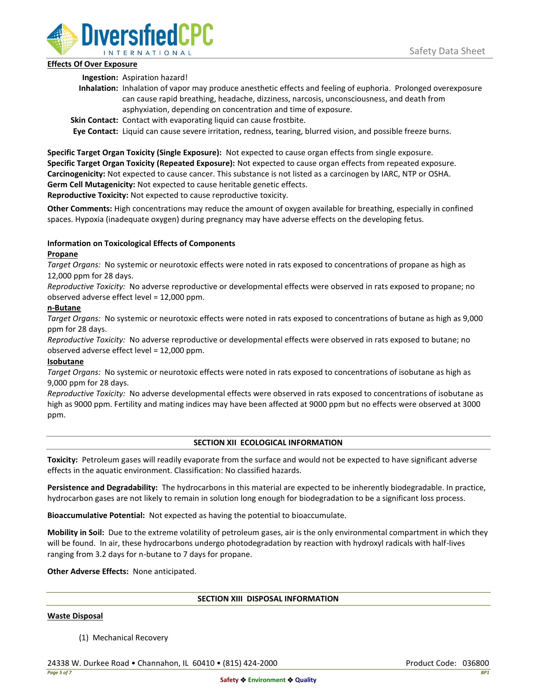

## **Effects Of Over Exposure**

**Ingestion:** Aspiration hazard!

- **Inhalation:** Inhalation of vapor may produce anesthetic effects and feeling of euphoria. Prolonged overexposure can cause rapid breathing, headache, dizziness, narcosis, unconsciousness, and death from asphyxiation, depending on concentration and time of exposure.
- **Skin Contact:** Contact with evaporating liquid can cause frostbite.

**Eye Contact:** Liquid can cause severe irritation, redness, tearing, blurred vision, and possible freeze burns.

**Specific Target Organ Toxicity (Single Exposure):** Not expected to cause organ effects from single exposure. **Specific Target Organ Toxicity (Repeated Exposure):** Not expected to cause organ effects from repeated exposure. **Carcinogenicity:** Not expected to cause cancer. This substance is not listed as a carcinogen by IARC, NTP or OSHA. **Germ Cell Mutagenicity:** Not expected to cause heritable genetic effects.

**Reproductive Toxicity:** Not expected to cause reproductive toxicity.

**Other Comments:** High concentrations may reduce the amount of oxygen available for breathing, especially in confined spaces. Hypoxia (inadequate oxygen) during pregnancy may have adverse effects on the developing fetus.

# **Information on Toxicological Effects of Components**

## **Propane**

*Target Organs:* No systemic or neurotoxic effects were noted in rats exposed to concentrations of propane as high as 12,000 ppm for 28 days.

*Reproductive Toxicity:* No adverse reproductive or developmental effects were observed in rats exposed to propane; no observed adverse effect level = 12,000 ppm.

## **n-Butane**

*Target Organs:* No systemic or neurotoxic effects were noted in rats exposed to concentrations of butane as high as 9,000 ppm for 28 days.

*Reproductive Toxicity:* No adverse reproductive or developmental effects were observed in rats exposed to butane; no observed adverse effect level = 12,000 ppm.

# **Isobutane**

*Target Organs:* No systemic or neurotoxic effects were noted in rats exposed to concentrations of isobutane as high as 9,000 ppm for 28 days.

*Reproductive Toxicity:* No adverse developmental effects were observed in rats exposed to concentrations of isobutane as high as 9000 ppm. Fertility and mating indices may have been affected at 9000 ppm but no effects were observed at 3000 ppm.

# **SECTION XII ECOLOGICAL INFORMATION**

**Toxicity:** Petroleum gases will readily evaporate from the surface and would not be expected to have significant adverse effects in the aquatic environment. Classification: No classified hazards.

**Persistence and Degradability:** The hydrocarbons in this material are expected to be inherently biodegradable. In practice, hydrocarbon gases are not likely to remain in solution long enough for biodegradation to be a significant loss process.

**Bioaccumulative Potential:** Not expected as having the potential to bioaccumulate.

**Mobility in Soil:** Due to the extreme volatility of petroleum gases, air is the only environmental compartment in which they will be found. In air, these hydrocarbons undergo photodegradation by reaction with hydroxyl radicals with half-lives ranging from 3.2 days for n-butane to 7 days for propane.

**Other Adverse Effects:** None anticipated.

# **SECTION XIII DISPOSAL INFORMATION**

### **Waste Disposal**

(1) Mechanical Recovery

24338 W. Durkee Road • Channahon, IL 60410 • (815) 424-2000 Product Code: 036800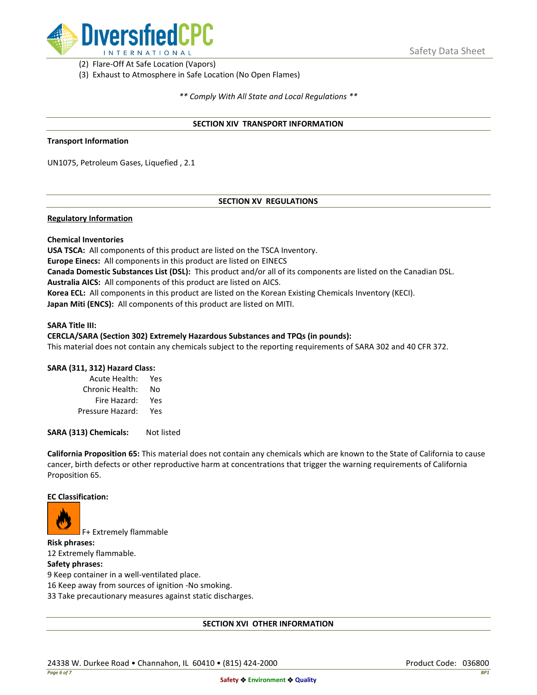

(2) Flare-Off At Safe Location (Vapors)

(3) Exhaust to Atmosphere in Safe Location (No Open Flames)

*\*\* Comply With All State and Local Regulations \*\**

### **SECTION XIV TRANSPORT INFORMATION**

#### **Transport Information**

UN1075, Petroleum Gases, Liquefied , 2.1

## **SECTION XV REGULATIONS**

### **Regulatory Information**

### **Chemical Inventories**

**USA TSCA:** All components of this product are listed on the TSCA Inventory. **Europe Einecs:** All components in this product are listed on EINECS **Canada Domestic Substances List (DSL):** This product and/or all of its components are listed on the Canadian DSL. **Australia AICS:** All components of this product are listed on AICS. **Korea ECL:** All components in this product are listed on the Korean Existing Chemicals Inventory (KECI). **Japan Miti (ENCS):** All components of this product are listed on MITI.

#### **SARA Title III:**

### **CERCLA/SARA (Section 302) Extremely Hazardous Substances and TPQs (in pounds):**

This material does not contain any chemicals subject to the reporting requirements of SARA 302 and 40 CFR 372.

### **SARA (311, 312) Hazard Class:**

| Acute Health:    | Yes |
|------------------|-----|
| Chronic Health:  | No  |
| Fire Hazard:     | Yes |
| Pressure Hazard: | Yes |

**SARA (313) Chemicals:** Not listed

**California Proposition 65:** This material does not contain any chemicals which are known to the State of California to cause cancer, birth defects or other reproductive harm at concentrations that trigger the warning requirements of California Proposition 65.

#### **EC Classification:**



F+ Extremely flammable

**Risk phrases:** 12 Extremely flammable.

## **Safety phrases:**

9 Keep container in a well-ventilated place.

16 Keep away from sources of ignition -No smoking.

33 Take precautionary measures against static discharges.

### **SECTION XVI OTHER INFORMATION**